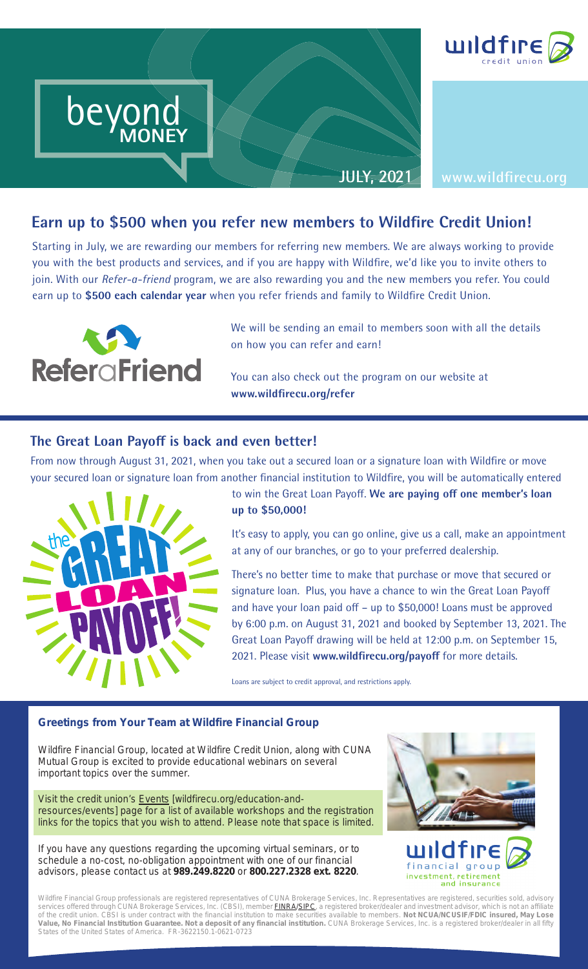

# Earn up to \$500 when you refer new members to Wildfire Credit Union! **up to \$500 when y**<br>in July, we are rewarding o

Starting in July, we are rewarding our members for referring new members. We are always working to provide you with the best products and services, and if you are happy with Wildfire, we'd like you to invite others to join. With our *Refer-a-friend* program, we are also rewarding you and the new members you refer. You could earn up to \$500 each calendar year when you refer friends and family to Wildfire Credit Union.



We will be sending an email to members soon with all the details on how you can refer and earn!

You can also check out the program on our website at **www.wildfi recu.org/refer**

### **The Great Loan Payoff is back and even better!**

From now through August 31, 2021, when you take out a secured loan or a signature loan with Wildfire or move your secured loan or signature loan from another financial institution to Wildfire, you will be automatically entered



to win the Great Loan Payoff. We are paying off one member's loan **up to \$50,000!** 

It's easy to apply, you can go online, give us a call, make an appointment at any of our branches, or go to your preferred dealership.

There's no better time to make that purchase or move that secured or signature loan. Plus, you have a chance to win the Great Loan Payoff and have your loan paid off  $-$  up to \$50,000! Loans must be approved by 6:00 p.m. on August 31, 2021 and booked by September 13, 2021. The Great Loan Payoff drawing will be held at 12:00 p.m. on September 15, 2021. Please visit www.wildfirecu.org/payoff for more details.

Loans are subject to credit approval, and restrictions apply.

#### **Greetings from Your Team at Wildfire Financial Group**

Wildfire Financial Group, located at Wildfire Credit Union, along with CUNA Mutual Group is excited to provide educational webinars on several important topics over the summer.

Visit the credit union's Events [wildfirecu.org/education-andresources/events] page for a list of available workshops and the registration links for the topics that you wish to attend. Please note that space is limited.

If you have any questions regarding the upcoming virtual seminars, or to schedule a no-cost, no-obligation appointment with one of our financial advisors, please contact us at **989.249.8220** or **800.227.2328 ext. 8220**.





Wildfire Financial Group professionals are registered representatives of CUNA Brokerage Services, Inc. Representatives are registered, securities sold, advisory services offered through CUNA Brokerage Services, Inc. (CBSI), member <mark>FINRA/SIPC</mark>, a registered broker/dealer and investment advisor, which is not an affiliate of the credit union. CBSI is under contract with the financial institution to make securities available to members. **Not NCUA/NCUSIF/FDIC insured, May Lose Value, No Financial Institution Guarantee. Not a deposit of any financial institution.** CUNA Brokerage Services, Inc. is a registered broker/dealer in all fifty States of the United States of America. FR-3622150.1-0621-0723